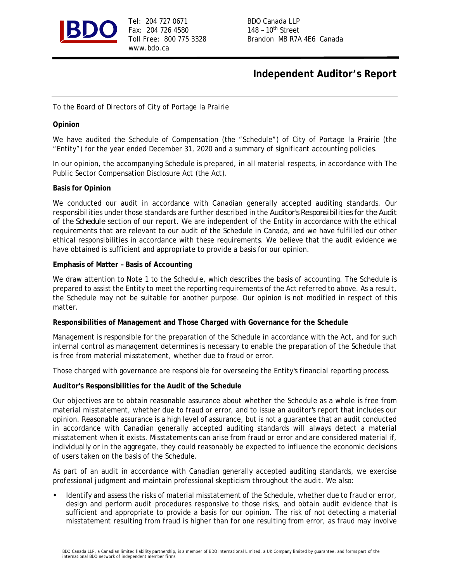

Tel: 204 727 0671 BDO Canada LLP Fax: 204 726 4580 148 - 10<sup>th</sup> Street www.bdo.ca

Toll Free: 800 775 3328 Brandon MB R7A 4E6 Canada

# **Independent Auditor's Report**

To the Board of Directors of City of Portage la Prairie

### **Opinion**

We have audited the Schedule of Compensation (the "Schedule") of City of Portage la Prairie (the "Entity") for the year ended December 31, 2020 and a summary of significant accounting policies.

In our opinion, the accompanying Schedule is prepared, in all material respects, in accordance with The Public Sector Compensation Disclosure Act (the Act).

#### **Basis for Opinion**

We conducted our audit in accordance with Canadian generally accepted auditing standards. Our responsibilities under those standards are further described in the *Auditor's Responsibilities for the Audit of the Schedule* section of our report. We are independent of the Entity in accordance with the ethical requirements that are relevant to our audit of the Schedule in Canada, and we have fulfilled our other ethical responsibilities in accordance with these requirements. We believe that the audit evidence we have obtained is sufficient and appropriate to provide a basis for our opinion.

#### **Emphasis of Matter – Basis of Accounting**

We draw attention to Note 1 to the Schedule, which describes the basis of accounting. The Schedule is prepared to assist the Entity to meet the reporting requirements of the Act referred to above. As a result, the Schedule may not be suitable for another purpose. Our opinion is not modified in respect of this matter.

**Responsibilities of Management and Those Charged with Governance for the Schedule**

Management is responsible for the preparation of the Schedule in accordance with the Act, and for such internal control as management determines is necessary to enable the preparation of the Schedule that is free from material misstatement, whether due to fraud or error.

Those charged with governance are responsible for overseeing the Entity's financial reporting process.

**Auditor's Responsibilities for the Audit of the Schedule**

Our objectives are to obtain reasonable assurance about whether the Schedule as a whole is free from material misstatement, whether due to fraud or error, and to issue an auditor's report that includes our opinion. Reasonable assurance is a high level of assurance, but is not a guarantee that an audit conducted in accordance with Canadian generally accepted auditing standards will always detect a material misstatement when it exists. Misstatements can arise from fraud or error and are considered material if, individually or in the aggregate, they could reasonably be expected to influence the economic decisions of users taken on the basis of the Schedule.

As part of an audit in accordance with Canadian generally accepted auditing standards, we exercise professional judgment and maintain professional skepticism throughout the audit. We also:

**•** Identify and assess the risks of material misstatement of the Schedule, whether due to fraud or error, design and perform audit procedures responsive to those risks, and obtain audit evidence that is sufficient and appropriate to provide a basis for our opinion. The risk of not detecting a material misstatement resulting from fraud is higher than for one resulting from error, as fraud may involve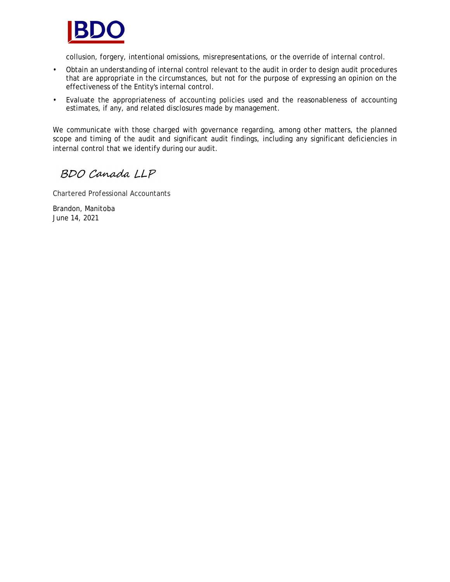

collusion, forgery, intentional omissions, misrepresentations, or the override of internal control.

- Obtain an understanding of internal control relevant to the audit in order to design audit procedures that are appropriate in the circumstances, but not for the purpose of expressing an opinion on the effectiveness of the Entity's internal control.
- Evaluate the appropriateness of accounting policies used and the reasonableness of accounting estimates, if any, and related disclosures made by management.

We communicate with those charged with governance regarding, among other matters, the planned scope and timing of the audit and significant audit findings, including any significant deficiencies in internal control that we identify during our audit.

BDO Canada LLP

Chartered Professional Accountants

Brandon, Manitoba June 14, 2021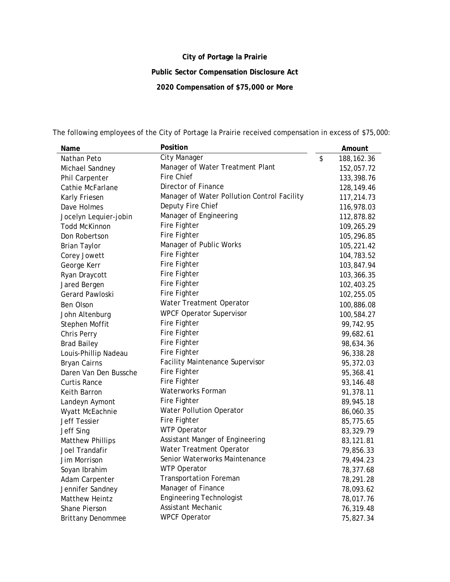# **City of Portage la Prairie**

**Public Sector Compensation Disclosure Act**

**2020 Compensation of \$75,000 or More**

| Name                     | Position                                    | Amount             |
|--------------------------|---------------------------------------------|--------------------|
| Nathan Peto              | <b>City Manager</b>                         | \$<br>188, 162. 36 |
| Michael Sandney          | Manager of Water Treatment Plant            | 152,057.72         |
| Phil Carpenter           | Fire Chief                                  | 133,398.76         |
| Cathie McFarlane         | Director of Finance                         | 128, 149.46        |
| Karly Friesen            | Manager of Water Pollution Control Facility | 117,214.73         |
| Dave Holmes              | Deputy Fire Chief                           | 116,978.03         |
| Jocelyn Lequier-jobin    | Manager of Engineering                      | 112,878.82         |
| <b>Todd McKinnon</b>     | Fire Fighter                                | 109,265.29         |
| Don Robertson            | Fire Fighter                                | 105,296.85         |
| <b>Brian Taylor</b>      | Manager of Public Works                     | 105,221.42         |
| Corey Jowett             | Fire Fighter                                | 104,783.52         |
| George Kerr              | Fire Fighter                                | 103,847.94         |
| Ryan Draycott            | Fire Fighter                                | 103,366.35         |
| Jared Bergen             | Fire Fighter                                | 102,403.25         |
| Gerard Pawloski          | Fire Fighter                                | 102,255.05         |
| Ben Olson                | Water Treatment Operator                    | 100,886.08         |
| John Altenburg           | <b>WPCF Operator Supervisor</b>             | 100,584.27         |
| Stephen Moffit           | Fire Fighter                                | 99,742.95          |
| Chris Perry              | Fire Fighter                                | 99,682.61          |
| <b>Brad Bailey</b>       | Fire Fighter                                | 98,634.36          |
| Louis-Phillip Nadeau     | Fire Fighter                                | 96,338.28          |
| Bryan Cairns             | Facility Maintenance Supervisor             | 95,372.03          |
| Daren Van Den Bussche    | Fire Fighter                                | 95,368.41          |
| Curtis Rance             | Fire Fighter                                | 93,146.48          |
| Keith Barron             | Waterworks Forman                           | 91,378.11          |
| Landeyn Aymont           | Fire Fighter                                | 89,945.18          |
| Wyatt McEachnie          | Water Pollution Operator                    | 86,060.35          |
| <b>Jeff Tessier</b>      | Fire Fighter                                | 85,775.65          |
| Jeff Sing                | <b>WTP Operator</b>                         | 83,329.79          |
| <b>Matthew Phillips</b>  | Assistant Manger of Engineering             | 83,121.81          |
| Joel Trandafir           | Water Treatment Operator                    | 79,856.33          |
| Jim Morrison             | Senior Waterworks Maintenance               | 79,494.23          |
| Soyan Ibrahim            | <b>WTP Operator</b>                         | 78,377.68          |
| Adam Carpenter           | <b>Transportation Foreman</b>               | 78,291.28          |
| Jennifer Sandney         | Manager of Finance                          | 78,093.62          |
| Matthew Heintz           | <b>Engineering Technologist</b>             | 78,017.76          |
| Shane Pierson            | <b>Assistant Mechanic</b>                   | 76,319.48          |
| <b>Brittany Denommee</b> | <b>WPCF Operator</b>                        | 75,827.34          |

The following employees of the City of Portage la Prairie received compensation in excess of \$75,000: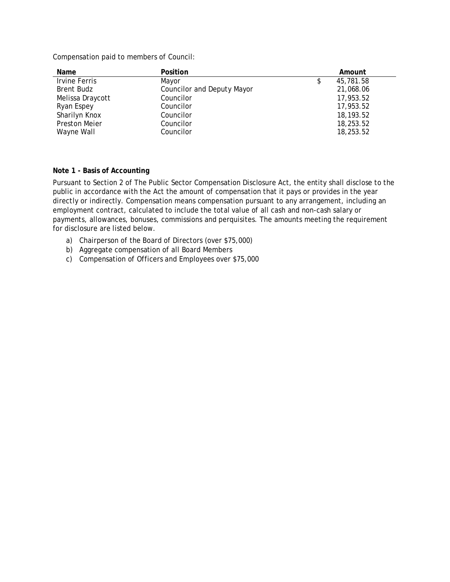Compensation paid to members of Council:

| Name                 | Position                          | Amount          |
|----------------------|-----------------------------------|-----------------|
| Irvine Ferris        | Mayor                             | 45,781.58<br>\$ |
| Brent Budz           | <b>Councilor and Deputy Mayor</b> | 21,068.06       |
| Melissa Draycott     | Councilor                         | 17,953.52       |
| Ryan Espey           | Councilor                         | 17,953.52       |
| Sharilyn Knox        | Councilor                         | 18, 193.52      |
| <b>Preston Meier</b> | Councilor                         | 18,253.52       |
| Wayne Wall           | Councilor                         | 18,253.52       |

### **Note 1 - Basis of Accounting**

Pursuant to Section 2 of The Public Sector Compensation Disclosure Act, the entity shall disclose to the public in accordance with the Act the amount of compensation that it pays or provides in the year directly or indirectly. Compensation means compensation pursuant to any arrangement, including an employment contract, calculated to include the total value of all cash and non-cash salary or payments, allowances, bonuses, commissions and perquisites. The amounts meeting the requirement for disclosure are listed below.

- a) Chairperson of the Board of Directors (over \$75,000)
- b) Aggregate compensation of all Board Members
- c) Compensation of Officers and Employees over \$75,000